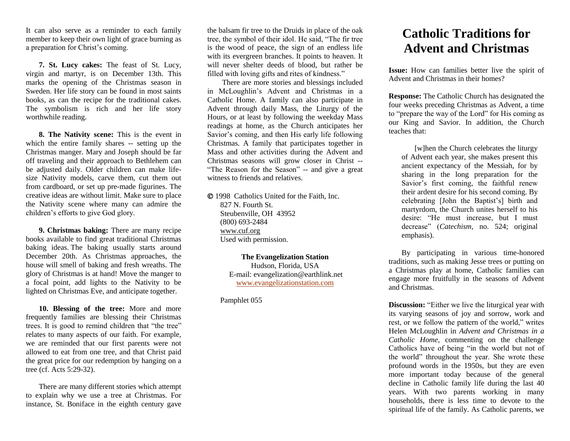It can also serve as a reminder to each family member to keep their own light of grace burning as a preparation for Christ's coming.

**7. St. Lucy cakes:** The feast of St. Lucy, virgin and martyr, is on December 13th. This marks the opening of the Christmas season in Sweden. Her life story can be found in most saints books, as can the recipe for the traditional cakes. The symbolism is rich and her life story worthwhile reading.

**8. The Nativity scene:** This is the event in which the entire family shares -- setting up the Christmas manger. Mary and Joseph should be far off traveling and their approach to Bethlehem can be adjusted daily. Older children can make lifesize Nativity models, carve them, cut them out from cardboard, or set up pre-made figurines. The creative ideas are without limit. Make sure to place the Nativity scene where many can admire the children's efforts to give God glory.

**9. Christmas baking:** There are many recipe books available to find great traditional Christmas baking ideas. The baking usually starts around December 20th. As Christmas approaches, the house will smell of baking and fresh wreaths. The glory of Christmas is at hand! Move the manger to a focal point, add lights to the Nativity to be lighted on Christmas Eve, and anticipate together.

**10. Blessing of the tree:** More and more frequently families are blessing their Christmas trees. It is good to remind children that "the tree" relates to many aspects of our faith. For example, we are reminded that our first parents were not allowed to eat from one tree, and that Christ paid the great price for our redemption by hanging on a tree (cf. Acts 5:29-32).

There are many different stories which attempt to explain why we use a tree at Christmas. For instance, St. Boniface in the eighth century gave the balsam fir tree to the Druids in place of the oak tree, the symbol of their idol. He said, "The fir tree is the wood of peace, the sign of an endless life with its evergreen branches. It points to heaven. It will never shelter deeds of blood, but rather be filled with loving gifts and rites of kindness."

There are more stories and blessings included in McLoughlin's Advent and Christmas in a Catholic Home. A family can also participate in Advent through daily Mass, the Liturgy of the Hours, or at least by following the weekday Mass readings at home, as the Church anticipates her Savior's coming, and then His early life following Christmas. A family that participates together in Mass and other activities during the Advent and Christmas seasons will grow closer in Christ -- "The Reason for the Season" -- and give a great witness to friends and relatives.

 1998 Catholics United for the Faith, Inc. 827 N. Fourth St. Steubenville, OH 43952 (800) 693-2484 [www.cuf.org](http://www.cuf.org/) Used with permission.

> **The Evangelization Station** Hudson, Florida, USA E-mail: evangelization@earthlink.net [www.evangelizationstation.com](http://www.pjpiisoe.org/)

Pamphlet 055

## **Catholic Traditions for Advent and Christmas**

**Issue:** How can families better live the spirit of Advent and Christmas in their homes?

**Response:** The Catholic Church has designated the four weeks preceding Christmas as Advent, a time to "prepare the way of the Lord" for His coming as our King and Savior. In addition, the Church teaches that:

[w]hen the Church celebrates the liturgy of Advent each year, she makes present this ancient expectancy of the Messiah, for by sharing in the long preparation for the Savior's first coming, the faithful renew their ardent desire for his second coming. By celebrating [John the Baptist's] birth and martyrdom, the Church unites herself to his desire: "He must increase, but I must decrease" (*Catechism*, no. 524; original emphasis).

By participating in various time-honored traditions, such as making Jesse trees or putting on a Christmas play at home, Catholic families can engage more fruitfully in the seasons of Advent and Christmas.

**Discussion:** "Either we live the liturgical year with its varying seasons of joy and sorrow, work and rest, or we follow the pattern of the world," writes Helen McLoughlin in *Advent and Christmas in a Catholic Home*, commenting on the challenge Catholics have of being "in the world but not of the world" throughout the year. She wrote these profound words in the 1950s, but they are even more important today because of the general decline in Catholic family life during the last 40 years. With two parents working in many households, there is less time to devote to the spiritual life of the family. As Catholic parents, we